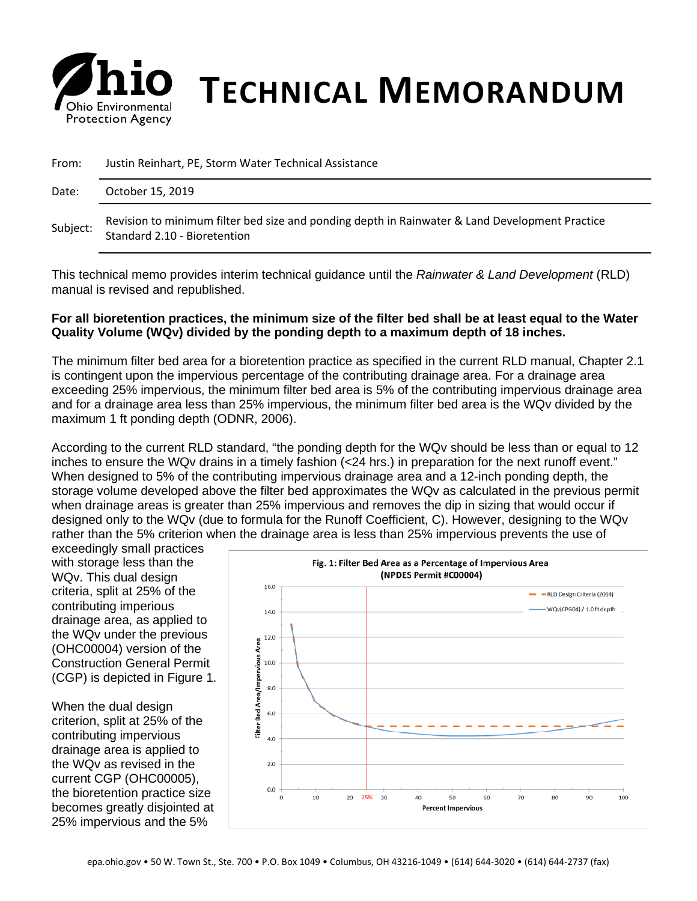

# **Chio Environmental TECHNICAL MEMORANDUM**

| From:    | Justin Reinhart, PE, Storm Water Technical Assistance                                                                          |
|----------|--------------------------------------------------------------------------------------------------------------------------------|
| Date:    | October 15, 2019                                                                                                               |
| Subject: | Revision to minimum filter bed size and ponding depth in Rainwater & Land Development Practice<br>Standard 2.10 - Bioretention |

This technical memo provides interim technical guidance until the *Rainwater & Land Development* (RLD) manual is revised and republished.

#### **For all bioretention practices, the minimum size of the filter bed shall be at least equal to the Water Quality Volume (WQv) divided by the ponding depth to a maximum depth of 18 inches.**

The minimum filter bed area for a bioretention practice as specified in the current RLD manual, Chapter 2.1 is contingent upon the impervious percentage of the contributing drainage area. For a drainage area exceeding 25% impervious, the minimum filter bed area is 5% of the contributing impervious drainage area and for a drainage area less than 25% impervious, the minimum filter bed area is the WQv divided by the maximum 1 ft ponding depth (ODNR, 2006).

According to the current RLD standard, "the ponding depth for the WQv should be less than or equal to 12 inches to ensure the WQv drains in a timely fashion (<24 hrs.) in preparation for the next runoff event." When designed to 5% of the contributing impervious drainage area and a 12-inch ponding depth, the storage volume developed above the filter bed approximates the WQv as calculated in the previous permit when drainage areas is greater than 25% impervious and removes the dip in sizing that would occur if designed only to the WQv (due to formula for the Runoff Coefficient, C). However, designing to the WQv rather than the 5% criterion when the drainage area is less than 25% impervious prevents the use of

exceedingly small practices with storage less than the WQv. This dual design criteria, split at 25% of the contributing imperious drainage area, as applied to the WQv under the previous (OHC00004) version of the Construction General Permit (CGP) is depicted in Figure 1.

When the dual design criterion, split at 25% of the contributing impervious drainage area is applied to the WQv as revised in the current CGP (OHC00005), the bioretention practice size becomes greatly disjointed at 25% impervious and the 5%

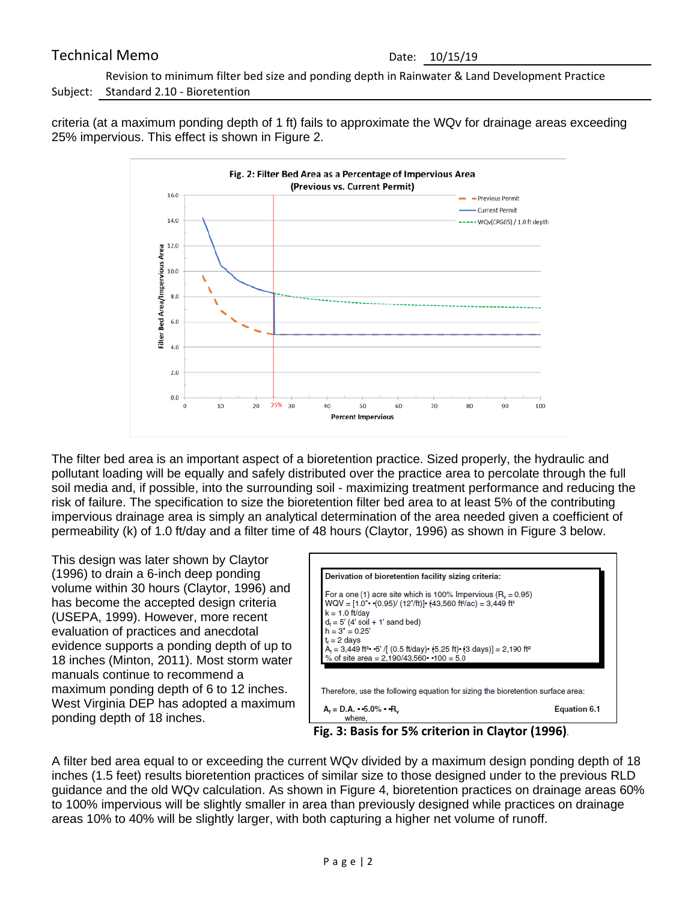## Technical Memo Date: 10/15/19

Subject: Standard 2.10 - Bioretention Revision to minimum filter bed size and ponding depth in Rainwater & Land Development Practice

criteria (at a maximum ponding depth of 1 ft) fails to approximate the WQv for drainage areas exceeding 25% impervious. This effect is shown in Figure 2.



The filter bed area is an important aspect of a bioretention practice. Sized properly, the hydraulic and pollutant loading will be equally and safely distributed over the practice area to percolate through the full soil media and, if possible, into the surrounding soil - maximizing treatment performance and reducing the risk of failure. The specification to size the bioretention filter bed area to at least 5% of the contributing impervious drainage area is simply an analytical determination of the area needed given a coefficient of permeability (k) of 1.0 ft/day and a filter time of 48 hours (Claytor, 1996) as shown in Figure 3 below.

This design was later shown by Claytor (1996) to drain a 6-inch deep ponding volume within 30 hours (Claytor, 1996) and has become the accepted design criteria (USEPA, 1999). However, more recent evaluation of practices and anecdotal evidence supports a ponding depth of up to 18 inches (Minton, 2011). Most storm water manuals continue to recommend a maximum ponding depth of 6 to 12 inches. West Virginia DEP has adopted a maximum ponding depth of 18 inches.

| Derivation of bioretention facility sizing criteria:                                                                                                                               |                     |
|------------------------------------------------------------------------------------------------------------------------------------------------------------------------------------|---------------------|
| For a one (1) acre site which is 100% Impervious ( $R_v = 0.95$ )                                                                                                                  |                     |
| $WQV = [1.0" \cdot (0.95) / (12" / ft)] \cdot (43,560 \text{ ft}^2/\text{ac}) = 3,449 \text{ ft}^3$<br>$k = 1.0$ ft/day<br>$d_f = 5'$ (4' soil + 1' sand bed)<br>$h = 3'' = 0.25'$ |                     |
|                                                                                                                                                                                    |                     |
|                                                                                                                                                                                    |                     |
| $tr = 2$ days                                                                                                                                                                      |                     |
|                                                                                                                                                                                    |                     |
| $A_t = 3,449$ ft <sup>3</sup> • 5' /[ (0.5 ft/day) • (5.25 ft) • (3 days)] = 2,190 ft <sup>2</sup> % of site area = 2,190/43,560 • •100 = 5.0                                      |                     |
|                                                                                                                                                                                    |                     |
|                                                                                                                                                                                    |                     |
|                                                                                                                                                                                    |                     |
| Therefore, use the following equation for sizing the bioretention surface area:                                                                                                    |                     |
|                                                                                                                                                                                    |                     |
| $A_t = D.A. - 5.0\% - R_v$<br>where.                                                                                                                                               | <b>Equation 6.1</b> |

**Fig. 3: Basis for 5% criterion in Claytor (1996)**.

A filter bed area equal to or exceeding the current WQv divided by a maximum design ponding depth of 18 inches (1.5 feet) results bioretention practices of similar size to those designed under to the previous RLD guidance and the old WQv calculation. As shown in Figure 4, bioretention practices on drainage areas 60% to 100% impervious will be slightly smaller in area than previously designed while practices on drainage areas 10% to 40% will be slightly larger, with both capturing a higher net volume of runoff.